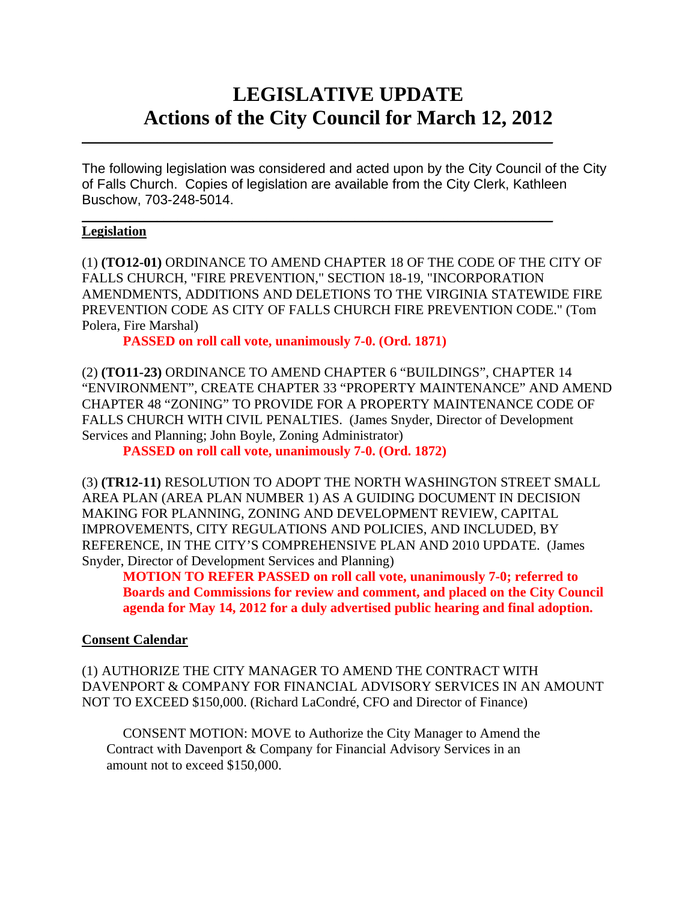# **LEGISLATIVE UPDATE Actions of the City Council for March 12, 2012**

The following legislation was considered and acted upon by the City Council of the City of Falls Church. Copies of legislation are available from the City Clerk, Kathleen Buschow, 703-248-5014.

 $\mathcal{L}_\text{max}$  and  $\mathcal{L}_\text{max}$  and  $\mathcal{L}_\text{max}$  and  $\mathcal{L}_\text{max}$  and  $\mathcal{L}_\text{max}$  and  $\mathcal{L}_\text{max}$ 

 $\mathcal{L}_\text{max}$  and  $\mathcal{L}_\text{max}$  and  $\mathcal{L}_\text{max}$  and  $\mathcal{L}_\text{max}$  and  $\mathcal{L}_\text{max}$  and  $\mathcal{L}_\text{max}$ 

### **Legislation**

(1) **(TO12-01)** ORDINANCE TO AMEND CHAPTER 18 OF THE CODE OF THE CITY OF FALLS CHURCH, "FIRE PREVENTION," SECTION 18-19, "INCORPORATION AMENDMENTS, ADDITIONS AND DELETIONS TO THE VIRGINIA STATEWIDE FIRE PREVENTION CODE AS CITY OF FALLS CHURCH FIRE PREVENTION CODE." (Tom Polera, Fire Marshal)

 **PASSED on roll call vote, unanimously 7-0. (Ord. 1871)** 

(2) **(TO11-23)** ORDINANCE TO AMEND CHAPTER 6 "BUILDINGS", CHAPTER 14 "ENVIRONMENT", CREATE CHAPTER 33 "PROPERTY MAINTENANCE" AND AMEND CHAPTER 48 "ZONING" TO PROVIDE FOR A PROPERTY MAINTENANCE CODE OF FALLS CHURCH WITH CIVIL PENALTIES. (James Snyder, Director of Development Services and Planning; John Boyle, Zoning Administrator)

 **PASSED on roll call vote, unanimously 7-0. (Ord. 1872)** 

(3) **(TR12-11)** RESOLUTION TO ADOPT THE NORTH WASHINGTON STREET SMALL AREA PLAN (AREA PLAN NUMBER 1) AS A GUIDING DOCUMENT IN DECISION MAKING FOR PLANNING, ZONING AND DEVELOPMENT REVIEW, CAPITAL IMPROVEMENTS, CITY REGULATIONS AND POLICIES, AND INCLUDED, BY REFERENCE, IN THE CITY'S COMPREHENSIVE PLAN AND 2010 UPDATE. (James Snyder, Director of Development Services and Planning)

**MOTION TO REFER PASSED on roll call vote, unanimously 7-0; referred to Boards and Commissions for review and comment, and placed on the City Council agenda for May 14, 2012 for a duly advertised public hearing and final adoption.** 

## **Consent Calendar**

(1) AUTHORIZE THE CITY MANAGER TO AMEND THE CONTRACT WITH DAVENPORT & COMPANY FOR FINANCIAL ADVISORY SERVICES IN AN AMOUNT NOT TO EXCEED \$150,000. (Richard LaCondré, CFO and Director of Finance)

 CONSENT MOTION: MOVE to Authorize the City Manager to Amend the Contract with Davenport & Company for Financial Advisory Services in an amount not to exceed \$150,000.